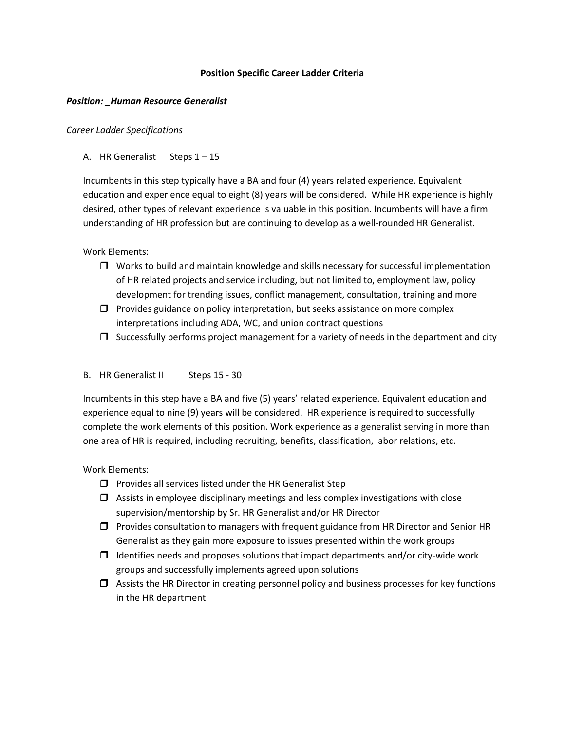#### **Position Specific Career Ladder Criteria**

#### *Position: \_Human Resource Generalist*

#### *Career Ladder Specifications*

# A. HR Generalist Steps 1 – 15

Incumbents in this step typically have a BA and four (4) years related experience. Equivalent education and experience equal to eight (8) years will be considered. While HR experience is highly desired, other types of relevant experience is valuable in this position. Incumbents will have a firm understanding of HR profession but are continuing to develop as a well-rounded HR Generalist.

# Work Elements:

- $\Box$  Works to build and maintain knowledge and skills necessary for successful implementation of HR related projects and service including, but not limited to, employment law, policy development for trending issues, conflict management, consultation, training and more
- $\Box$  Provides guidance on policy interpretation, but seeks assistance on more complex interpretations including ADA, WC, and union contract questions
- $\Box$  Successfully performs project management for a variety of needs in the department and city

#### B. HR Generalist II Steps 15 - 30

Incumbents in this step have a BA and five (5) years' related experience. Equivalent education and experience equal to nine (9) years will be considered. HR experience is required to successfully complete the work elements of this position. Work experience as a generalist serving in more than one area of HR is required, including recruiting, benefits, classification, labor relations, etc.

# Work Elements:

- $\Box$  Provides all services listed under the HR Generalist Step
- $\Box$  Assists in employee disciplinary meetings and less complex investigations with close supervision/mentorship by Sr. HR Generalist and/or HR Director
- $\Box$  Provides consultation to managers with frequent guidance from HR Director and Senior HR Generalist as they gain more exposure to issues presented within the work groups
- $\Box$  Identifies needs and proposes solutions that impact departments and/or city-wide work groups and successfully implements agreed upon solutions
- $\Box$  Assists the HR Director in creating personnel policy and business processes for key functions in the HR department